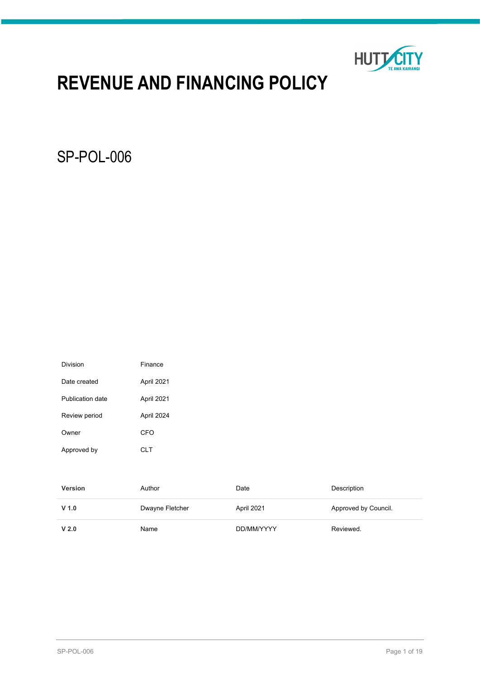

# **REVENUE AND FINANCING POLICY**

SP-POL-006

| Division         | Finance    |
|------------------|------------|
| Date created     | April 2021 |
| Publication date | April 2021 |
| Review period    | April 2024 |
| Owner            | CFO        |
| Approved by      | CLT        |

| <b>Version</b>   | Author          | Date       | Description          |
|------------------|-----------------|------------|----------------------|
| $V$ 1.0          | Dwayne Fletcher | April 2021 | Approved by Council. |
| V <sub>2.0</sub> | Name            | DD/MM/YYYY | Reviewed.            |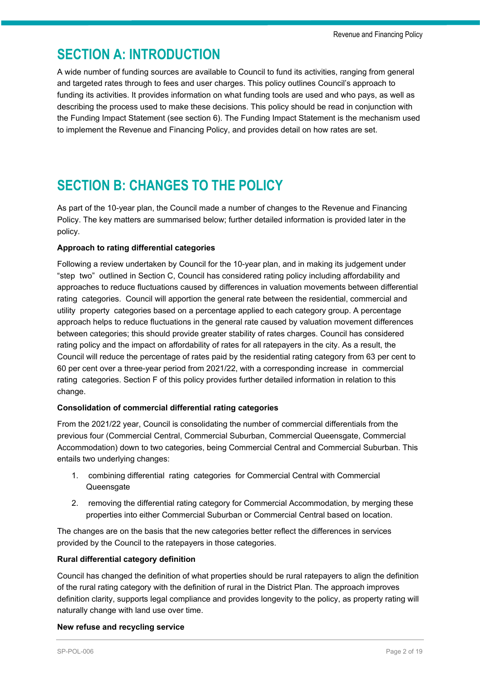## **SECTION A: INTRODUCTION**

A wide number of funding sources are available to Council to fund its activities, ranging from general and targeted rates through to fees and user charges. This policy outlines Council's approach to funding its activities. It provides information on what funding tools are used and who pays, as well as describing the process used to make these decisions. This policy should be read in conjunction with the Funding Impact Statement (see section 6). The Funding Impact Statement is the mechanism used to implement the Revenue and Financing Policy, and provides detail on how rates are set.

## **SECTION B: CHANGES TO THE POLICY**

As part of the 10-year plan, the Council made a number of changes to the Revenue and Financing Policy. The key matters are summarised below; further detailed information is provided later in the policy.

### **Approach to rating differential categories**

Following a review undertaken by Council for the 10-year plan, and in making its judgement under "step two" outlined in Section C, Council has considered rating policy including affordability and approaches to reduce fluctuations caused by differences in valuation movements between differential rating categories. Council will apportion the general rate between the residential, commercial and utility property categories based on a percentage applied to each category group. A percentage approach helps to reduce fluctuations in the general rate caused by valuation movement differences between categories; this should provide greater stability of rates charges. Council has considered rating policy and the impact on affordability of rates for all ratepayers in the city. As a result, the Council will reduce the percentage of rates paid by the residential rating category from 63 per cent to 60 per cent over a three-year period from 2021/22, with a corresponding increase in commercial rating categories. Section F of this policy provides further detailed information in relation to this change.

#### **Consolidation of commercial differential rating categories**

From the 2021/22 year, Council is consolidating the number of commercial differentials from the previous four (Commercial Central, Commercial Suburban, Commercial Queensgate, Commercial Accommodation) down to two categories, being Commercial Central and Commercial Suburban. This entails two underlying changes:

- 1. combining differential rating categories for Commercial Central with Commercial **Queensgate**
- 2. removing the differential rating category for Commercial Accommodation, by merging these properties into either Commercial Suburban or Commercial Central based on location.

The changes are on the basis that the new categories better reflect the differences in services provided by the Council to the ratepayers in those categories.

#### **Rural differential category definition**

Council has changed the definition of what properties should be rural ratepayers to align the definition of the rural rating category with the definition of rural in the District Plan. The approach improves definition clarity, supports legal compliance and provides longevity to the policy, as property rating will naturally change with land use over time.

#### **New refuse and recycling service**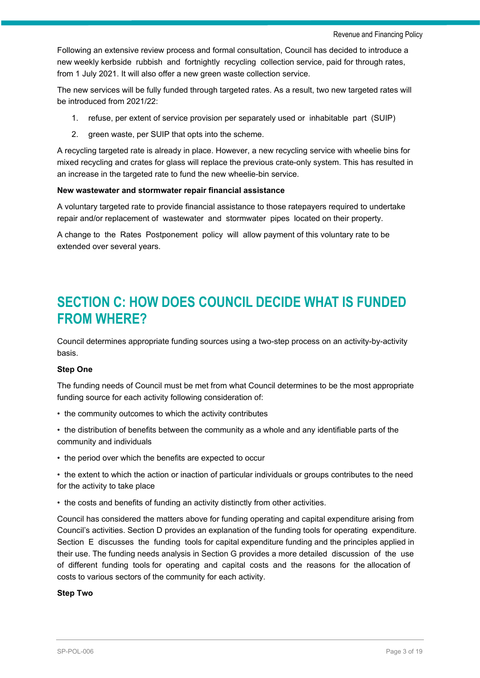Following an extensive review process and formal consultation, Council has decided to introduce a new weekly kerbside rubbish and fortnightly recycling collection service, paid for through rates, from 1 July 2021. It will also offer a new green waste collection service.

The new services will be fully funded through targeted rates. As a result, two new targeted rates will be introduced from 2021/22:

- 1. refuse, per extent of service provision per separately used or inhabitable part (SUIP)
- 2. green waste, per SUIP that opts into the scheme.

A recycling targeted rate is already in place. However, a new recycling service with wheelie bins for mixed recycling and crates for glass will replace the previous crate-only system. This has resulted in an increase in the targeted rate to fund the new wheelie-bin service.

### **New wastewater and stormwater repair financial assistance**

A voluntary targeted rate to provide financial assistance to those ratepayers required to undertake repair and/or replacement of wastewater and stormwater pipes located on their property.

A change to the Rates Postponement policy will allow payment of this voluntary rate to be extended over several years.

## **SECTION C: HOW DOES COUNCIL DECIDE WHAT IS FUNDED FROM WHERE?**

Council determines appropriate funding sources using a two-step process on an activity-by-activity basis.

#### **Step One**

The funding needs of Council must be met from what Council determines to be the most appropriate funding source for each activity following consideration of:

- the community outcomes to which the activity contributes
- the distribution of benefits between the community as a whole and any identifiable parts of the community and individuals
- the period over which the benefits are expected to occur
- the extent to which the action or inaction of particular individuals or groups contributes to the need for the activity to take place
- the costs and benefits of funding an activity distinctly from other activities.

Council has considered the matters above for funding operating and capital expenditure arising from Council's activities. Section D provides an explanation of the funding tools for operating expenditure. Section E discusses the funding tools for capital expenditure funding and the principles applied in their use. The funding needs analysis in Section G provides a more detailed discussion of the use of different funding tools for operating and capital costs and the reasons for the allocation of costs to various sectors of the community for each activity.

#### **Step Two**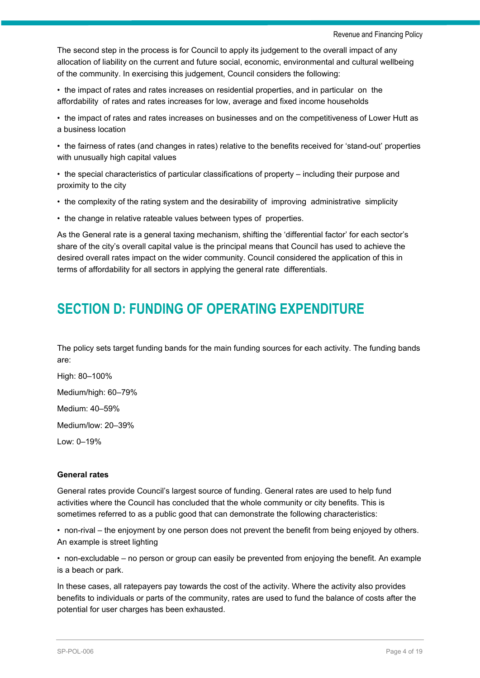The second step in the process is for Council to apply its judgement to the overall impact of any allocation of liability on the current and future social, economic, environmental and cultural wellbeing of the community. In exercising this judgement, Council considers the following:

• the impact of rates and rates increases on residential properties, and in particular on the affordability of rates and rates increases for low, average and fixed income households

• the impact of rates and rates increases on businesses and on the competitiveness of Lower Hutt as a business location

• the fairness of rates (and changes in rates) relative to the benefits received for 'stand-out' properties with unusually high capital values

• the special characteristics of particular classifications of property – including their purpose and proximity to the city

- the complexity of the rating system and the desirability of improving administrative simplicity
- the change in relative rateable values between types of properties.

As the General rate is a general taxing mechanism, shifting the 'differential factor' for each sector's share of the city's overall capital value is the principal means that Council has used to achieve the desired overall rates impact on the wider community. Council considered the application of this in terms of affordability for all sectors in applying the general rate differentials.

## **SECTION D: FUNDING OF OPERATING EXPENDITURE**

The policy sets target funding bands for the main funding sources for each activity. The funding bands are:

High: 80–100% Medium/high: 60–79% Medium: 40–59%

Medium/low: 20–39%

Low: 0–19%

#### **General rates**

General rates provide Council's largest source of funding. General rates are used to help fund activities where the Council has concluded that the whole community or city benefits. This is sometimes referred to as a public good that can demonstrate the following characteristics:

• non-rival – the enjoyment by one person does not prevent the benefit from being enjoyed by others. An example is street lighting

• non-excludable – no person or group can easily be prevented from enjoying the benefit. An example is a beach or park.

In these cases, all ratepayers pay towards the cost of the activity. Where the activity also provides benefits to individuals or parts of the community, rates are used to fund the balance of costs after the potential for user charges has been exhausted.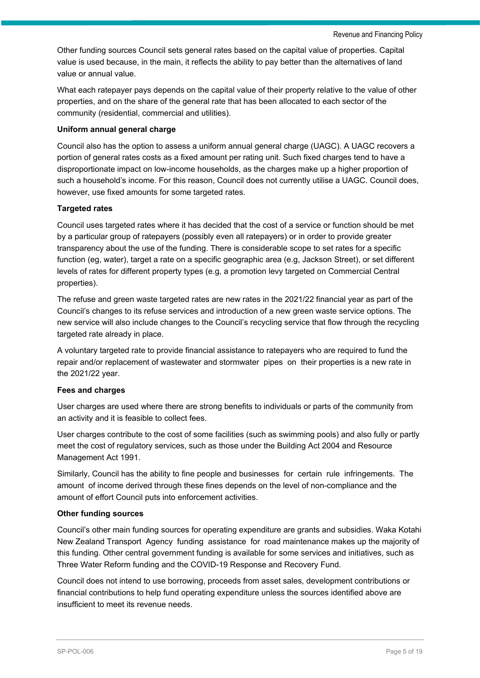Other funding sources Council sets general rates based on the capital value of properties. Capital value is used because, in the main, it reflects the ability to pay better than the alternatives of land value or annual value.

What each ratepayer pays depends on the capital value of their property relative to the value of other properties, and on the share of the general rate that has been allocated to each sector of the community (residential, commercial and utilities).

### **Uniform annual general charge**

Council also has the option to assess a uniform annual general charge (UAGC). A UAGC recovers a portion of general rates costs as a fixed amount per rating unit. Such fixed charges tend to have a disproportionate impact on low-income households, as the charges make up a higher proportion of such a household's income. For this reason, Council does not currently utilise a UAGC. Council does, however, use fixed amounts for some targeted rates.

### **Targeted rates**

Council uses targeted rates where it has decided that the cost of a service or function should be met by a particular group of ratepayers (possibly even all ratepayers) or in order to provide greater transparency about the use of the funding. There is considerable scope to set rates for a specific function (eg, water), target a rate on a specific geographic area (e.g, Jackson Street), or set different levels of rates for different property types (e.g, a promotion levy targeted on Commercial Central properties).

The refuse and green waste targeted rates are new rates in the 2021/22 financial year as part of the Council's changes to its refuse services and introduction of a new green waste service options. The new service will also include changes to the Council's recycling service that flow through the recycling targeted rate already in place.

A voluntary targeted rate to provide financial assistance to ratepayers who are required to fund the repair and/or replacement of wastewater and stormwater pipes on their properties is a new rate in the 2021/22 year.

#### **Fees and charges**

User charges are used where there are strong benefits to individuals or parts of the community from an activity and it is feasible to collect fees.

User charges contribute to the cost of some facilities (such as swimming pools) and also fully or partly meet the cost of regulatory services, such as those under the Building Act 2004 and Resource Management Act 1991.

Similarly, Council has the ability to fine people and businesses for certain rule infringements. The amount of income derived through these fines depends on the level of non-compliance and the amount of effort Council puts into enforcement activities.

#### **Other funding sources**

Council's other main funding sources for operating expenditure are grants and subsidies. Waka Kotahi New Zealand Transport Agency funding assistance for road maintenance makes up the majority of this funding. Other central government funding is available for some services and initiatives, such as Three Water Reform funding and the COVID-19 Response and Recovery Fund.

Council does not intend to use borrowing, proceeds from asset sales, development contributions or financial contributions to help fund operating expenditure unless the sources identified above are insufficient to meet its revenue needs.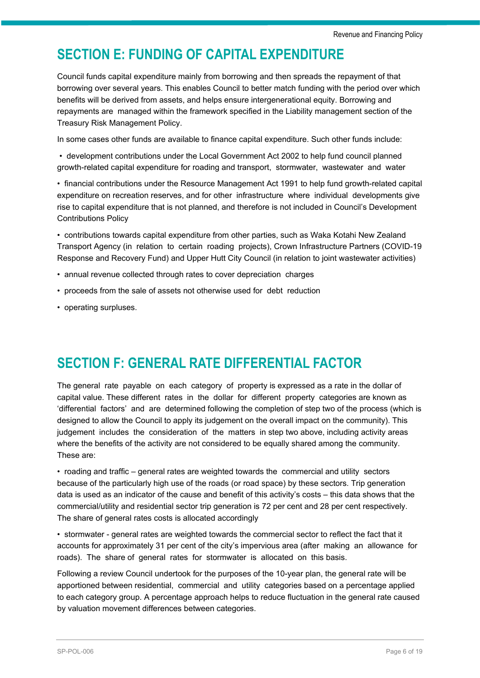## **SECTION E: FUNDING OF CAPITAL EXPENDITURE**

Council funds capital expenditure mainly from borrowing and then spreads the repayment of that borrowing over several years. This enables Council to better match funding with the period over which benefits will be derived from assets, and helps ensure intergenerational equity. Borrowing and repayments are managed within the framework specified in the Liability management section of the Treasury Risk Management Policy.

In some cases other funds are available to finance capital expenditure. Such other funds include:

• development contributions under the Local Government Act 2002 to help fund council planned growth-related capital expenditure for roading and transport, stormwater, wastewater and water

• financial contributions under the Resource Management Act 1991 to help fund growth-related capital expenditure on recreation reserves, and for other infrastructure where individual developments give rise to capital expenditure that is not planned, and therefore is not included in Council's Development Contributions Policy

• contributions towards capital expenditure from other parties, such as Waka Kotahi New Zealand Transport Agency (in relation to certain roading projects), Crown Infrastructure Partners (COVID-19 Response and Recovery Fund) and Upper Hutt City Council (in relation to joint wastewater activities)

- annual revenue collected through rates to cover depreciation charges
- proceeds from the sale of assets not otherwise used for debt reduction
- operating surpluses.

## **SECTION F: GENERAL RATE DIFFERENTIAL FACTOR**

The general rate payable on each category of property is expressed as a rate in the dollar of capital value. These different rates in the dollar for different property categories are known as 'differential factors' and are determined following the completion of step two of the process (which is designed to allow the Council to apply its judgement on the overall impact on the community). This judgement includes the consideration of the matters in step two above, including activity areas where the benefits of the activity are not considered to be equally shared among the community. These are:

• roading and traffic – general rates are weighted towards the commercial and utility sectors because of the particularly high use of the roads (or road space) by these sectors. Trip generation data is used as an indicator of the cause and benefit of this activity's costs – this data shows that the commercial/utility and residential sector trip generation is 72 per cent and 28 per cent respectively. The share of general rates costs is allocated accordingly

• stormwater - general rates are weighted towards the commercial sector to reflect the fact that it accounts for approximately 31 per cent of the city's impervious area (after making an allowance for roads). The share of general rates for stormwater is allocated on this basis.

Following a review Council undertook for the purposes of the 10-year plan, the general rate will be apportioned between residential, commercial and utility categories based on a percentage applied to each category group. A percentage approach helps to reduce fluctuation in the general rate caused by valuation movement differences between categories.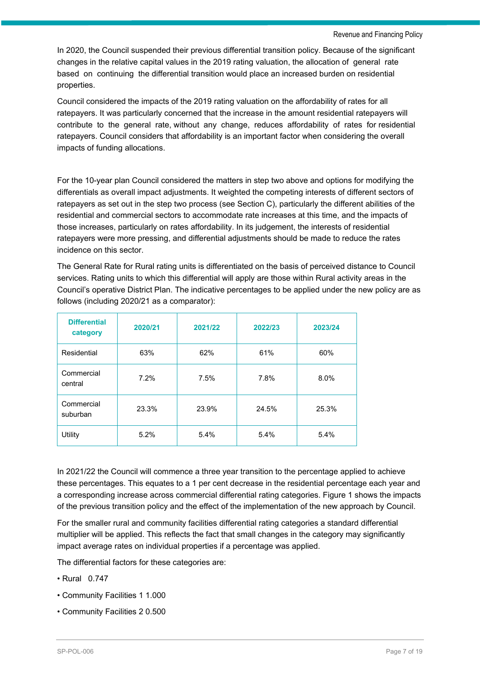In 2020, the Council suspended their previous differential transition policy. Because of the significant changes in the relative capital values in the 2019 rating valuation, the allocation of general rate based on continuing the differential transition would place an increased burden on residential properties.

Council considered the impacts of the 2019 rating valuation on the affordability of rates for all ratepayers. It was particularly concerned that the increase in the amount residential ratepayers will contribute to the general rate, without any change, reduces affordability of rates for residential ratepayers. Council considers that affordability is an important factor when considering the overall impacts of funding allocations.

For the 10-year plan Council considered the matters in step two above and options for modifying the differentials as overall impact adjustments. It weighted the competing interests of different sectors of ratepayers as set out in the step two process (see Section C), particularly the different abilities of the residential and commercial sectors to accommodate rate increases at this time, and the impacts of those increases, particularly on rates affordability. In its judgement, the interests of residential ratepayers were more pressing, and differential adjustments should be made to reduce the rates incidence on this sector.

The General Rate for Rural rating units is differentiated on the basis of perceived distance to Council services. Rating units to which this differential will apply are those within Rural activity areas in the Council's operative District Plan. The indicative percentages to be applied under the new policy are as follows (including 2020/21 as a comparator):

| <b>Differential</b><br>category | 2020/21 | 2021/22 | 2022/23 | 2023/24 |
|---------------------------------|---------|---------|---------|---------|
| Residential                     | 63%     | 62%     | 61%     | 60%     |
| Commercial<br>central           | 7.2%    | 7.5%    | 7.8%    | 8.0%    |
| Commercial<br>suburban          | 23.3%   | 23.9%   | 24.5%   | 25.3%   |
| Utility                         | 5.2%    | 5.4%    | 5.4%    | 5.4%    |

In 2021/22 the Council will commence a three year transition to the percentage applied to achieve these percentages. This equates to a 1 per cent decrease in the residential percentage each year and a corresponding increase across commercial differential rating categories. Figure 1 shows the impacts of the previous transition policy and the effect of the implementation of the new approach by Council.

For the smaller rural and community facilities differential rating categories a standard differential multiplier will be applied. This reflects the fact that small changes in the category may significantly impact average rates on individual properties if a percentage was applied.

The differential factors for these categories are:

- Rural 0.747
- Community Facilities 1 1.000
- Community Facilities 2 0.500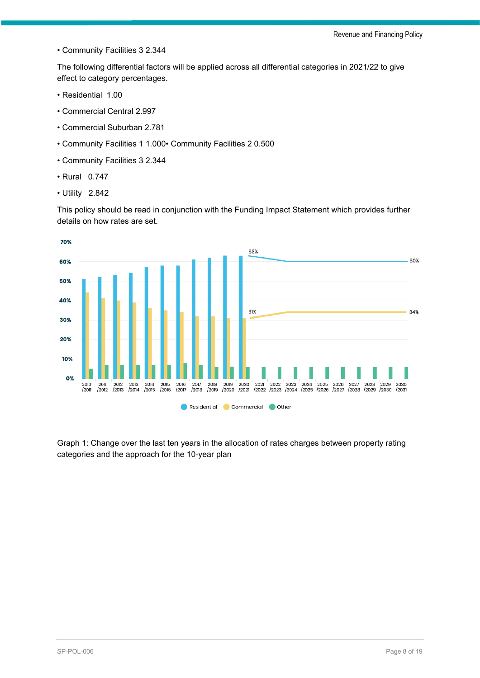• Community Facilities 3 2.344

The following differential factors will be applied across all differential categories in 2021/22 to give effect to category percentages.

- Residential 1.00
- Commercial Central 2.997
- Commercial Suburban 2.781
- Community Facilities 1 1.000• Community Facilities 2 0.500
- Community Facilities 3 2.344
- Rural 0.747
- Utility 2.842

This policy should be read in conjunction with the Funding Impact Statement which provides further details on how rates are set.



Graph 1: Change over the last ten years in the allocation of rates charges between property rating categories and the approach for the 10-year plan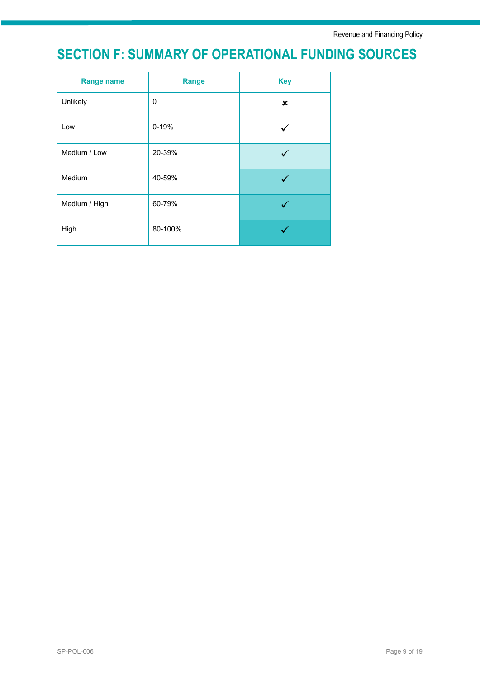## **SECTION F: SUMMARY OF OPERATIONAL FUNDING SOURCES**

| <b>Range name</b> | <b>Range</b> | <b>Key</b> |
|-------------------|--------------|------------|
| Unlikely          | 0            | ×          |
| Low               | 0-19%        |            |
| Medium / Low      | 20-39%       |            |
| Medium            | 40-59%       |            |
| Medium / High     | 60-79%       |            |
| High              | 80-100%      |            |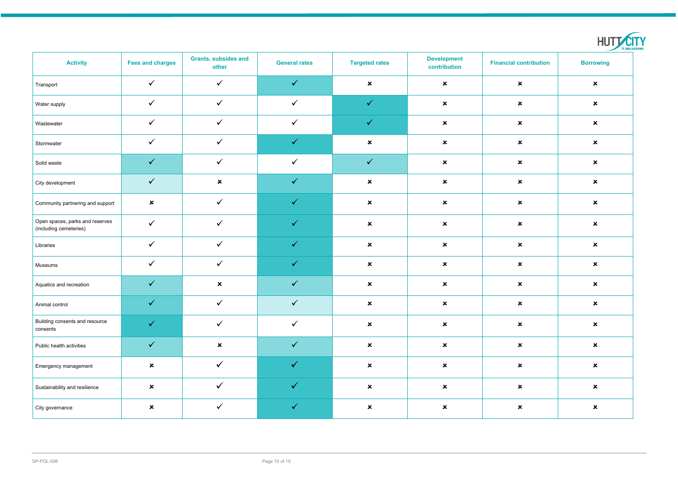| <b>Activity</b>                                           | <b>Fees and charges</b>   | <b>Grants, subsides and</b><br>other | <b>General rates</b> | <b>Targeted rates</b> | <b>Development</b><br>contribution | <b>Financial contribution</b> | <b>Borrowing</b>          |
|-----------------------------------------------------------|---------------------------|--------------------------------------|----------------------|-----------------------|------------------------------------|-------------------------------|---------------------------|
| Transport                                                 | $\checkmark$              | $\checkmark$                         | $\checkmark$         | $\pmb{\times}$        | $\boldsymbol{\mathsf{x}}$          | $\boldsymbol{\mathsf{x}}$     | $\boldsymbol{\mathsf{x}}$ |
| Water supply                                              | $\checkmark$              | $\checkmark$                         | $\checkmark$         | $\checkmark$          | $\pmb{\times}$                     | $\boldsymbol{\mathsf{x}}$     | $\pmb{\times}$            |
| Wastewater                                                | $\checkmark$              | $\checkmark$                         | $\checkmark$         | $\checkmark$          | $\pmb{\times}$                     | $\boldsymbol{\mathsf{x}}$     | $\boldsymbol{\mathsf{x}}$ |
| Stormwater                                                | $\checkmark$              | $\checkmark$                         | $\checkmark$         | $\pmb{\times}$        | $\pmb{\times}$                     | $\boldsymbol{\mathsf{x}}$     | $\boldsymbol{\mathsf{x}}$ |
| Solid waste                                               | $\checkmark$              | $\checkmark$                         | $\checkmark$         | $\checkmark$          | $\pmb{\times}$                     | $\boldsymbol{\mathsf{x}}$     | $\boldsymbol{\mathsf{x}}$ |
| City development                                          | $\checkmark$              | $\boldsymbol{\mathsf{x}}$            | $\checkmark$         | $\pmb{\times}$        | $\pmb{\times}$                     | $\boldsymbol{\mathsf{x}}$     | $\boldsymbol{\mathsf{x}}$ |
| Community partnering and support                          | $\boldsymbol{\mathsf{x}}$ | $\checkmark$                         | $\checkmark$         | $\pmb{\times}$        | $\pmb{\times}$                     | $\pmb{\times}$                | $\boldsymbol{\mathsf{x}}$ |
| Open spaces, parks and reserves<br>(including cemeteries) | $\checkmark$              | $\checkmark$                         | $\checkmark$         | $\pmb{\times}$        | $\pmb{\times}$                     | $\boldsymbol{\mathsf{x}}$     | $\boldsymbol{\mathsf{x}}$ |
| Libraries                                                 | $\checkmark$              | $\checkmark$                         | $\checkmark$         | $\pmb{\times}$        | $\pmb{\times}$                     | $\boldsymbol{\mathsf{x}}$     | $\boldsymbol{\mathsf{x}}$ |
| Museums                                                   | $\checkmark$              | $\checkmark$                         | $\checkmark$         | $\pmb{\times}$        | $\pmb{\times}$                     | $\boldsymbol{\mathsf{x}}$     | $\boldsymbol{\mathsf{x}}$ |
| Aquatics and recreation                                   | $\checkmark$              | $\boldsymbol{\mathsf{x}}$            | $\checkmark$         | $\pmb{\times}$        | $\pmb{\mathsf{x}}$                 | $\boldsymbol{\mathsf{x}}$     | $\boldsymbol{\mathsf{x}}$ |
| Animal control                                            | $\checkmark$              | $\checkmark$                         | $\checkmark$         | $\pmb{\times}$        | $\pmb{\mathsf{x}}$                 | $\pmb{\times}$                | $\boldsymbol{\mathsf{x}}$ |
| Building consents and resource<br>consents                | $\checkmark$              | $\checkmark$                         | $\checkmark$         | $\mathbf{x}$          | $\pmb{\times}$                     | $\boldsymbol{\mathsf{x}}$     | $\boldsymbol{\mathsf{x}}$ |
| Public health activities                                  | $\checkmark$              | $\boldsymbol{\mathsf{x}}$            | $\checkmark$         | $\mathbf{x}$          | $\pmb{\times}$                     | $\boldsymbol{\mathsf{x}}$     | $\boldsymbol{\mathsf{x}}$ |
| Emergency management                                      | $\pmb{\times}$            | $\checkmark$                         | $\checkmark$         | $\pmb{\times}$        | $\pmb{\times}$                     | $\boldsymbol{\mathsf{x}}$     | $\boldsymbol{\mathsf{x}}$ |
| Sustainability and resilience                             | $\boldsymbol{\mathsf{x}}$ | $\checkmark$                         | $\checkmark$         | $\pmb{\times}$        | $\pmb{\mathsf{x}}$                 | $\pmb{\times}$                | $\pmb{\times}$            |
| City governance                                           | $\boldsymbol{\mathsf{x}}$ | $\checkmark$                         | $\checkmark$         | $\pmb{\times}$        | $\pmb{\times}$                     | $\pmb{\times}$                | $\pmb{\times}$            |

|                        | ш |
|------------------------|---|
| <b>TE AWA KAIRANGI</b> |   |
|                        |   |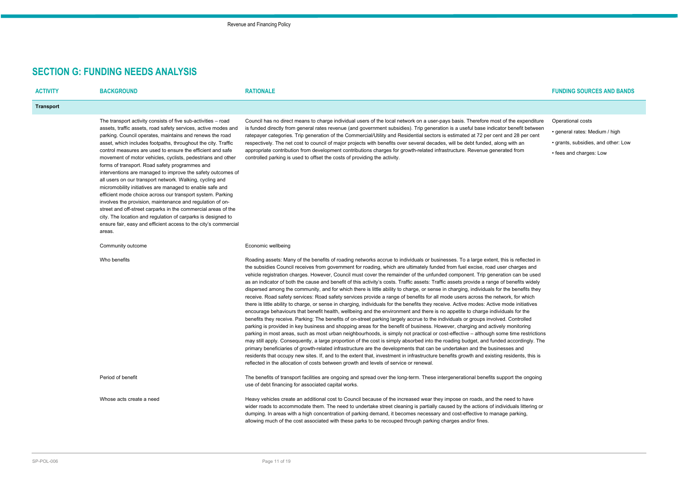## **SECTION G: FUNDING NEEDS ANALYSIS**

| <b>ACTIVITY</b>  | <b>BACKGROUND</b>                                                                                                                                                                                                                                                                                                                                                                                                                                                                                                                                                                                                                                                                                                                                                                                                                                                                                                                                                           | <b>RATIONALE</b>                                                                                                                                                                                                                                                                                                                                                                                                                                                                                                                                                                                                                                                                                                                                                                                                                                                                                                                                                                                                                                                                                                                                                                                                                                                                                                                                                                                                                                                                                                                                                                                                                                                                                                                                                                                                                                                                                                                                                                                                                                  | <b>FUNDING SOURCES AND BANDS</b>                                                                                      |
|------------------|-----------------------------------------------------------------------------------------------------------------------------------------------------------------------------------------------------------------------------------------------------------------------------------------------------------------------------------------------------------------------------------------------------------------------------------------------------------------------------------------------------------------------------------------------------------------------------------------------------------------------------------------------------------------------------------------------------------------------------------------------------------------------------------------------------------------------------------------------------------------------------------------------------------------------------------------------------------------------------|---------------------------------------------------------------------------------------------------------------------------------------------------------------------------------------------------------------------------------------------------------------------------------------------------------------------------------------------------------------------------------------------------------------------------------------------------------------------------------------------------------------------------------------------------------------------------------------------------------------------------------------------------------------------------------------------------------------------------------------------------------------------------------------------------------------------------------------------------------------------------------------------------------------------------------------------------------------------------------------------------------------------------------------------------------------------------------------------------------------------------------------------------------------------------------------------------------------------------------------------------------------------------------------------------------------------------------------------------------------------------------------------------------------------------------------------------------------------------------------------------------------------------------------------------------------------------------------------------------------------------------------------------------------------------------------------------------------------------------------------------------------------------------------------------------------------------------------------------------------------------------------------------------------------------------------------------------------------------------------------------------------------------------------------------|-----------------------------------------------------------------------------------------------------------------------|
| <b>Transport</b> |                                                                                                                                                                                                                                                                                                                                                                                                                                                                                                                                                                                                                                                                                                                                                                                                                                                                                                                                                                             |                                                                                                                                                                                                                                                                                                                                                                                                                                                                                                                                                                                                                                                                                                                                                                                                                                                                                                                                                                                                                                                                                                                                                                                                                                                                                                                                                                                                                                                                                                                                                                                                                                                                                                                                                                                                                                                                                                                                                                                                                                                   |                                                                                                                       |
|                  | The transport activity consists of five sub-activities - road<br>assets, traffic assets, road safety services, active modes and<br>parking. Council operates, maintains and renews the road<br>asset, which includes footpaths, throughout the city. Traffic<br>control measures are used to ensure the efficient and safe<br>movement of motor vehicles, cyclists, pedestrians and other<br>forms of transport. Road safety programmes and<br>interventions are managed to improve the safety outcomes of<br>all users on our transport network. Walking, cycling and<br>micromobility initiatives are managed to enable safe and<br>efficient mode choice across our transport system. Parking<br>involves the provision, maintenance and regulation of on-<br>street and off-street carparks in the commercial areas of the<br>city. The location and regulation of carparks is designed to<br>ensure fair, easy and efficient access to the city's commercial<br>areas. | Council has no direct means to charge individual users of the local network on a user-pays basis. Therefore most of the expenditure<br>is funded directly from general rates revenue (and government subsidies). Trip generation is a useful base indicator benefit between<br>ratepayer categories. Trip generation of the Commercial/Utility and Residential sectors is estimated at 72 per cent and 28 per cent<br>respectively. The net cost to council of major projects with benefits over several decades, will be debt funded, along with an<br>appropriate contribution from development contributions charges for growth-related infrastructure. Revenue generated from<br>controlled parking is used to offset the costs of providing the activity.                                                                                                                                                                                                                                                                                                                                                                                                                                                                                                                                                                                                                                                                                                                                                                                                                                                                                                                                                                                                                                                                                                                                                                                                                                                                                    | Operational costs<br>• general rates: Medium / high<br>• grants, subsidies, and other: Low<br>• fees and charges: Low |
|                  | Community outcome                                                                                                                                                                                                                                                                                                                                                                                                                                                                                                                                                                                                                                                                                                                                                                                                                                                                                                                                                           | Economic wellbeing                                                                                                                                                                                                                                                                                                                                                                                                                                                                                                                                                                                                                                                                                                                                                                                                                                                                                                                                                                                                                                                                                                                                                                                                                                                                                                                                                                                                                                                                                                                                                                                                                                                                                                                                                                                                                                                                                                                                                                                                                                |                                                                                                                       |
|                  | Who benefits                                                                                                                                                                                                                                                                                                                                                                                                                                                                                                                                                                                                                                                                                                                                                                                                                                                                                                                                                                | Roading assets: Many of the benefits of roading networks accrue to individuals or businesses. To a large extent, this is reflected in<br>the subsidies Council receives from government for roading, which are ultimately funded from fuel excise, road user charges and<br>vehicle registration charges. However, Council must cover the remainder of the unfunded component. Trip generation can be used<br>as an indicator of both the cause and benefit of this activity's costs. Traffic assets: Traffic assets provide a range of benefits widely<br>dispersed among the community, and for which there is little ability to charge, or sense in charging, individuals for the benefits they<br>receive. Road safety services: Road safety services provide a range of benefits for all mode users across the network, for which<br>there is little ability to charge, or sense in charging, individuals for the benefits they receive. Active modes: Active mode initiatives<br>encourage behaviours that benefit health, wellbeing and the environment and there is no appetite to charge individuals for the<br>benefits they receive. Parking: The benefits of on-street parking largely accrue to the individuals or groups involved. Controlled<br>parking is provided in key business and shopping areas for the benefit of business. However, charging and actively monitoring<br>parking in most areas, such as most urban neighbourhoods, is simply not practical or cost-effective - although some time restrictions<br>may still apply. Consequently, a large proportion of the cost is simply absorbed into the roading budget, and funded accordingly. The<br>primary beneficiaries of growth-related infrastructure are the developments that can be undertaken and the businesses and<br>residents that occupy new sites. If, and to the extent that, investment in infrastructure benefits growth and existing residents, this is<br>reflected in the allocation of costs between growth and levels of service or renewal. |                                                                                                                       |
|                  | Period of benefit                                                                                                                                                                                                                                                                                                                                                                                                                                                                                                                                                                                                                                                                                                                                                                                                                                                                                                                                                           | The benefits of transport facilities are ongoing and spread over the long-term. These intergenerational benefits support the ongoing<br>use of debt financing for associated capital works.                                                                                                                                                                                                                                                                                                                                                                                                                                                                                                                                                                                                                                                                                                                                                                                                                                                                                                                                                                                                                                                                                                                                                                                                                                                                                                                                                                                                                                                                                                                                                                                                                                                                                                                                                                                                                                                       |                                                                                                                       |
|                  | Whose acts create a need                                                                                                                                                                                                                                                                                                                                                                                                                                                                                                                                                                                                                                                                                                                                                                                                                                                                                                                                                    | Heavy vehicles create an additional cost to Council because of the increased wear they impose on roads, and the need to have<br>wider roads to accommodate them. The need to undertake street cleaning is partially caused by the actions of individuals littering or<br>dumping. In areas with a high concentration of parking demand, it becomes necessary and cost-effective to manage parking,<br>allowing much of the cost associated with these parks to be recouped through parking charges and/or fines.                                                                                                                                                                                                                                                                                                                                                                                                                                                                                                                                                                                                                                                                                                                                                                                                                                                                                                                                                                                                                                                                                                                                                                                                                                                                                                                                                                                                                                                                                                                                  |                                                                                                                       |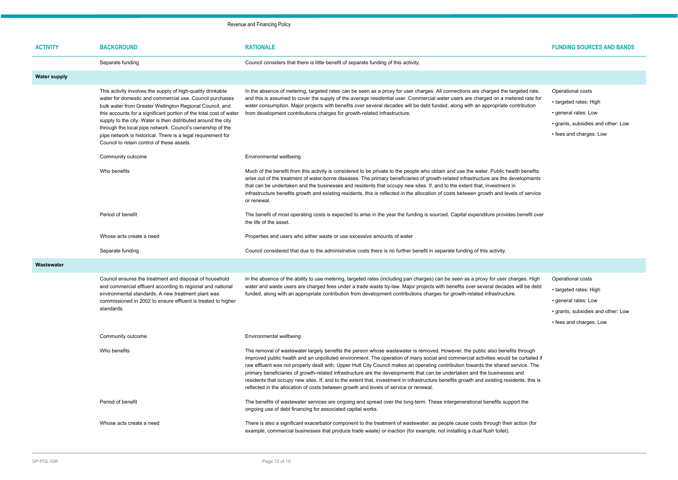| <b>ACTIVITY</b>     | <b>BACKGROUND</b>                                                                                                                                                                                                                                                                                                                                                                                                                                                                                      | <b>RATIONALE</b>                                                                                                                                                                                                                                                                                                                                                                                                                                                                                                                                                                                                                                                                                                                                                           | <b>FUNDING SOURCES AND BANDS</b>                                                                                                     |
|---------------------|--------------------------------------------------------------------------------------------------------------------------------------------------------------------------------------------------------------------------------------------------------------------------------------------------------------------------------------------------------------------------------------------------------------------------------------------------------------------------------------------------------|----------------------------------------------------------------------------------------------------------------------------------------------------------------------------------------------------------------------------------------------------------------------------------------------------------------------------------------------------------------------------------------------------------------------------------------------------------------------------------------------------------------------------------------------------------------------------------------------------------------------------------------------------------------------------------------------------------------------------------------------------------------------------|--------------------------------------------------------------------------------------------------------------------------------------|
|                     | Separate funding                                                                                                                                                                                                                                                                                                                                                                                                                                                                                       | Council considers that there is little benefit of separate funding of this activity.                                                                                                                                                                                                                                                                                                                                                                                                                                                                                                                                                                                                                                                                                       |                                                                                                                                      |
| <b>Water supply</b> |                                                                                                                                                                                                                                                                                                                                                                                                                                                                                                        |                                                                                                                                                                                                                                                                                                                                                                                                                                                                                                                                                                                                                                                                                                                                                                            |                                                                                                                                      |
|                     | This activity involves the supply of high-quality drinkable<br>water for domestic and commercial use. Council purchases<br>bulk water from Greater Wellington Regional Council, and<br>this accounts for a significant portion of the total cost of water<br>supply to the city. Water is then distributed around the city<br>through the local pipe network. Council's ownership of the<br>pipe network is historical. There is a legal requirement for<br>Council to retain control of these assets. | In the absence of metering, targeted rates can be seen as a proxy for user charges. All connections are charged the targeted rate,<br>and this is assumed to cover the supply of the average residential user. Commercial water users are charged on a metered rate for<br>water consumption. Major projects with benefits over several decades will be debt funded, along with an appropriate contribution<br>from development contributions charges for growth-related infrastructure.                                                                                                                                                                                                                                                                                   | Operational costs<br>• targeted rates: High<br>• general rates: Low<br>• grants, subsidies and other: Low<br>• fees and charges: Low |
|                     | Community outcome                                                                                                                                                                                                                                                                                                                                                                                                                                                                                      | Environmental wellbeing                                                                                                                                                                                                                                                                                                                                                                                                                                                                                                                                                                                                                                                                                                                                                    |                                                                                                                                      |
|                     | Who benefits                                                                                                                                                                                                                                                                                                                                                                                                                                                                                           | Much of the benefit from this activity is considered to be private to the people who obtain and use the water. Public health benefits<br>arise out of the treatment of water-borne diseases. The primary beneficiaries of growth-related infrastructure are the developments<br>that can be undertaken and the businesses and residents that occupy new sites. If, and to the extent that, investment in<br>infrastructure benefits growth and existing residents, this is reflected in the allocation of costs between growth and levels of service<br>or renewal.                                                                                                                                                                                                        |                                                                                                                                      |
|                     | Period of benefit                                                                                                                                                                                                                                                                                                                                                                                                                                                                                      | The benefit of most operating costs is expected to arise in the year the funding is sourced. Capital expenditure provides benefit over<br>the life of the asset.                                                                                                                                                                                                                                                                                                                                                                                                                                                                                                                                                                                                           |                                                                                                                                      |
|                     | Whose acts create a need                                                                                                                                                                                                                                                                                                                                                                                                                                                                               | Properties and users who either waste or use excessive amounts of water                                                                                                                                                                                                                                                                                                                                                                                                                                                                                                                                                                                                                                                                                                    |                                                                                                                                      |
|                     | Separate funding                                                                                                                                                                                                                                                                                                                                                                                                                                                                                       | Council considered that due to the administrative costs there is no further benefit in separate funding of this activity.                                                                                                                                                                                                                                                                                                                                                                                                                                                                                                                                                                                                                                                  |                                                                                                                                      |
| Wastewater          |                                                                                                                                                                                                                                                                                                                                                                                                                                                                                                        |                                                                                                                                                                                                                                                                                                                                                                                                                                                                                                                                                                                                                                                                                                                                                                            |                                                                                                                                      |
|                     | Council ensures the treatment and disposal of household<br>and commercial effluent according to regional and national<br>environmental standards. A new treatment plant was<br>commissioned in 2002 to ensure effluent is treated to higher<br>standards.                                                                                                                                                                                                                                              | In the absence of the ability to use metering, targeted rates (including pan charges) can be seen as a proxy for user charges. High<br>water and waste users are charged fees under a trade waste by-law. Major projects with benefits over several decades will be debt<br>funded, along with an appropriate contribution from development contributions charges for growth-related infrastructure.                                                                                                                                                                                                                                                                                                                                                                       | Operational costs<br>• targeted rates: High<br>• general rates: Low<br>• grants, subsidies and other: Low<br>• fees and charges: Low |
|                     | Community outcome                                                                                                                                                                                                                                                                                                                                                                                                                                                                                      | Environmental wellbeing                                                                                                                                                                                                                                                                                                                                                                                                                                                                                                                                                                                                                                                                                                                                                    |                                                                                                                                      |
|                     | Who benefits                                                                                                                                                                                                                                                                                                                                                                                                                                                                                           | The removal of wastewater largely benefits the person whose wastewater is removed. However, the public also benefits through<br>improved public health and an unpolluted environment. The operation of many social and commercial activities would be curtailed if<br>raw effluent was not properly dealt with. Upper Hutt City Council makes an operating contribution towards the shared service. The<br>primary beneficiaries of growth-related infrastructure are the developments that can be undertaken and the businesses and<br>residents that occupy new sites. If, and to the extent that, investment in infrastructure benefits growth and existing residents, this is<br>reflected in the allocation of costs between growth and levels of service or renewal. |                                                                                                                                      |
|                     | Period of benefit                                                                                                                                                                                                                                                                                                                                                                                                                                                                                      | The benefits of wastewater services are ongoing and spread over the long-term. These intergenerational benefits support the<br>ongoing use of debt financing for associated capital works.                                                                                                                                                                                                                                                                                                                                                                                                                                                                                                                                                                                 |                                                                                                                                      |
|                     | Whose acts create a need                                                                                                                                                                                                                                                                                                                                                                                                                                                                               | There is also a significant exacerbator component to the treatment of wastewater, as people cause costs through their action (for<br>example, commercial businesses that produce trade waste) or inaction (for example, not installing a dual flush toilet).                                                                                                                                                                                                                                                                                                                                                                                                                                                                                                               |                                                                                                                                      |

- 
- 
- 
-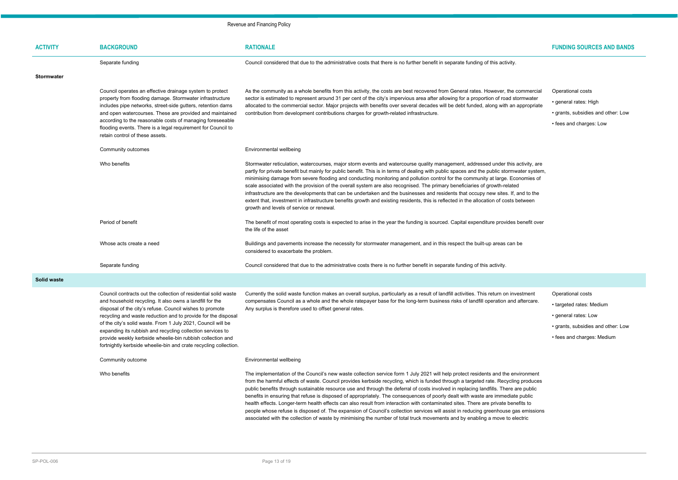| <b>ACTIVITY</b>    | <b>BACKGROUND</b>                                                                                                                                                                                                                                                                                                                                                                                                                                     | <b>RATIONALE</b>                                                                                                                                                                                                                                                                                                                                                                                                                                                                                                                                                                                                                                                                                                                                                                                                                                                                                                                                                 | <b>FUNDING SOURCES AND BANDS</b>                                                                                                          |
|--------------------|-------------------------------------------------------------------------------------------------------------------------------------------------------------------------------------------------------------------------------------------------------------------------------------------------------------------------------------------------------------------------------------------------------------------------------------------------------|------------------------------------------------------------------------------------------------------------------------------------------------------------------------------------------------------------------------------------------------------------------------------------------------------------------------------------------------------------------------------------------------------------------------------------------------------------------------------------------------------------------------------------------------------------------------------------------------------------------------------------------------------------------------------------------------------------------------------------------------------------------------------------------------------------------------------------------------------------------------------------------------------------------------------------------------------------------|-------------------------------------------------------------------------------------------------------------------------------------------|
|                    | Separate funding                                                                                                                                                                                                                                                                                                                                                                                                                                      | Council considered that due to the administrative costs that there is no further benefit in separate funding of this activity.                                                                                                                                                                                                                                                                                                                                                                                                                                                                                                                                                                                                                                                                                                                                                                                                                                   |                                                                                                                                           |
| <b>Stormwater</b>  |                                                                                                                                                                                                                                                                                                                                                                                                                                                       |                                                                                                                                                                                                                                                                                                                                                                                                                                                                                                                                                                                                                                                                                                                                                                                                                                                                                                                                                                  |                                                                                                                                           |
|                    | Council operates an effective drainage system to protect<br>property from flooding damage. Stormwater infrastructure<br>includes pipe networks, street-side gutters, retention dams<br>and open watercourses. These are provided and maintained<br>according to the reasonable costs of managing foreseeable<br>flooding events. There is a legal requirement for Council to<br>retain control of these assets.                                       | As the community as a whole benefits from this activity, the costs are best recovered from General rates. However, the commercial<br>sector is estimated to represent around 31 per cent of the city's impervious area after allowing for a proportion of road stormwater<br>allocated to the commercial sector. Major projects with benefits over several decades will be debt funded, along with an appropriate<br>contribution from development contributions charges for growth-related infrastructure.                                                                                                                                                                                                                                                                                                                                                                                                                                                      | Operational costs<br>• general rates: High<br>• grants, subsidies and other: Low<br>• fees and charges: Low                               |
|                    | Community outcomes                                                                                                                                                                                                                                                                                                                                                                                                                                    | Environmental wellbeing                                                                                                                                                                                                                                                                                                                                                                                                                                                                                                                                                                                                                                                                                                                                                                                                                                                                                                                                          |                                                                                                                                           |
|                    | Who benefits                                                                                                                                                                                                                                                                                                                                                                                                                                          | Stormwater reticulation, watercourses, major storm events and watercourse quality management, addressed under this activity, are<br>partly for private benefit but mainly for public benefit. This is in terms of dealing with public spaces and the public stormwater system,<br>minimising damage from severe flooding and conducting monitoring and pollution control for the community at large. Economies of<br>scale associated with the provision of the overall system are also recognised. The primary beneficiaries of growth-related<br>infrastructure are the developments that can be undertaken and the businesses and residents that occupy new sites. If, and to the<br>extent that, investment in infrastructure benefits growth and existing residents, this is reflected in the allocation of costs between<br>growth and levels of service or renewal.                                                                                       |                                                                                                                                           |
|                    | Period of benefit                                                                                                                                                                                                                                                                                                                                                                                                                                     | The benefit of most operating costs is expected to arise in the year the funding is sourced. Capital expenditure provides benefit over<br>the life of the asset                                                                                                                                                                                                                                                                                                                                                                                                                                                                                                                                                                                                                                                                                                                                                                                                  |                                                                                                                                           |
|                    | Whose acts create a need                                                                                                                                                                                                                                                                                                                                                                                                                              | Buildings and pavements increase the necessity for stormwater management, and in this respect the built-up areas can be<br>considered to exacerbate the problem.                                                                                                                                                                                                                                                                                                                                                                                                                                                                                                                                                                                                                                                                                                                                                                                                 |                                                                                                                                           |
|                    | Separate funding                                                                                                                                                                                                                                                                                                                                                                                                                                      | Council considered that due to the administrative costs there is no further benefit in separate funding of this activity.                                                                                                                                                                                                                                                                                                                                                                                                                                                                                                                                                                                                                                                                                                                                                                                                                                        |                                                                                                                                           |
| <b>Solid waste</b> |                                                                                                                                                                                                                                                                                                                                                                                                                                                       |                                                                                                                                                                                                                                                                                                                                                                                                                                                                                                                                                                                                                                                                                                                                                                                                                                                                                                                                                                  |                                                                                                                                           |
|                    | and household recycling. It also owns a landfill for the<br>disposal of the city's refuse. Council wishes to promote<br>recycling and waste reduction and to provide for the disposal<br>of the city's solid waste. From 1 July 2021, Council will be<br>expanding its rubbish and recycling collection services to<br>provide weekly kerbside wheelie-bin rubbish collection and<br>fortnightly kerbside wheelie-bin and crate recycling collection. | Council contracts out the collection of residential solid waste Currently the solid waste function makes an overall surplus, particularly as a result of landfill activities. This return on investment<br>compensates Council as a whole and the whole ratepayer base for the long-term business risks of landfill operation and aftercare.<br>Any surplus is therefore used to offset general rates.                                                                                                                                                                                                                                                                                                                                                                                                                                                                                                                                                           | Operational costs<br>• targeted rates: Medium<br>• general rates: Low<br>• grants, subsidies and other: Low<br>• fees and charges: Medium |
|                    | Community outcome                                                                                                                                                                                                                                                                                                                                                                                                                                     | Environmental wellbeing                                                                                                                                                                                                                                                                                                                                                                                                                                                                                                                                                                                                                                                                                                                                                                                                                                                                                                                                          |                                                                                                                                           |
|                    | Who benefits                                                                                                                                                                                                                                                                                                                                                                                                                                          | The implementation of the Council's new waste collection service form 1 July 2021 will help protect residents and the environment<br>from the harmful effects of waste. Council provides kerbside recycling, which is funded through a targeted rate. Recycling produces<br>public benefits through sustainable resource use and through the deferral of costs involved in replacing landfills. There are public<br>benefits in ensuring that refuse is disposed of appropriately. The consequences of poorly dealt with waste are immediate public<br>health effects. Longer-term health effects can also result from interaction with contaminated sites. There are private benefits to<br>people whose refuse is disposed of. The expansion of Council's collection services will assist in reducing greenhouse gas emissions<br>associated with the collection of waste by minimising the number of total truck movements and by enabling a move to electric |                                                                                                                                           |

- 
- 
- 
- 

- 
- 
- 
- 
- 
- 
-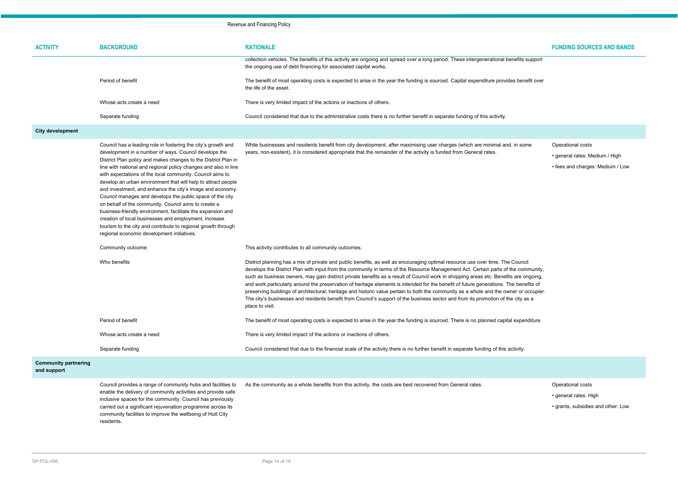| <b>ACTIVITY</b>                            | <b>BACKGROUND</b>                                                                                                                                                                                                                                                                                                                                                                                                                                                                                                                                                                                                                                                                                                                                                                                                  | <b>RATIONALE</b>                                                                                                                                                                                                                                                                                                                                                                                                                                                                                                                                                                                                                                                                                                                                                                                                                                       |
|--------------------------------------------|--------------------------------------------------------------------------------------------------------------------------------------------------------------------------------------------------------------------------------------------------------------------------------------------------------------------------------------------------------------------------------------------------------------------------------------------------------------------------------------------------------------------------------------------------------------------------------------------------------------------------------------------------------------------------------------------------------------------------------------------------------------------------------------------------------------------|--------------------------------------------------------------------------------------------------------------------------------------------------------------------------------------------------------------------------------------------------------------------------------------------------------------------------------------------------------------------------------------------------------------------------------------------------------------------------------------------------------------------------------------------------------------------------------------------------------------------------------------------------------------------------------------------------------------------------------------------------------------------------------------------------------------------------------------------------------|
|                                            |                                                                                                                                                                                                                                                                                                                                                                                                                                                                                                                                                                                                                                                                                                                                                                                                                    | collection vehicles. The benefits of this activity are ongoing and spread over a long period. These intergenerational benefits support<br>the ongoing use of debt financing for associated capital works.                                                                                                                                                                                                                                                                                                                                                                                                                                                                                                                                                                                                                                              |
|                                            | Period of benefit                                                                                                                                                                                                                                                                                                                                                                                                                                                                                                                                                                                                                                                                                                                                                                                                  | The benefit of most operating costs is expected to arise in the year the funding is sourced. Capital expenditure provides benefit over<br>the life of the asset.                                                                                                                                                                                                                                                                                                                                                                                                                                                                                                                                                                                                                                                                                       |
|                                            | Whose acts create a need                                                                                                                                                                                                                                                                                                                                                                                                                                                                                                                                                                                                                                                                                                                                                                                           | There is very limited impact of the actions or inactions of others.                                                                                                                                                                                                                                                                                                                                                                                                                                                                                                                                                                                                                                                                                                                                                                                    |
|                                            | Separate funding                                                                                                                                                                                                                                                                                                                                                                                                                                                                                                                                                                                                                                                                                                                                                                                                   | Council considered that due to the administrative costs there is no further benefit in separate funding of this activity.                                                                                                                                                                                                                                                                                                                                                                                                                                                                                                                                                                                                                                                                                                                              |
| <b>City development</b>                    |                                                                                                                                                                                                                                                                                                                                                                                                                                                                                                                                                                                                                                                                                                                                                                                                                    |                                                                                                                                                                                                                                                                                                                                                                                                                                                                                                                                                                                                                                                                                                                                                                                                                                                        |
|                                            | Council has a leading role in fostering the city's growth and<br>development in a number of ways. Council develops the<br>District Plan policy and makes changes to the District Plan in<br>line with national and regional policy changes and also in line<br>with expectations of the local community. Council aims to<br>develop an urban environment that will help to attract people<br>and investment, and enhance the city's image and economy.<br>Council manages and develops the public space of the city<br>on behalf of the community. Council aims to create a<br>business-friendly environment, facilitate the expansion and<br>creation of local businesses and employment, increase<br>tourism to the city and contribute to regional growth through<br>regional economic development initiatives. | While businesses and residents benefit from city development, after maximising user charges (which are minimal and, in some<br>years, non-existent), it is considered appropriate that the remainder of the activity is funded from General rates.                                                                                                                                                                                                                                                                                                                                                                                                                                                                                                                                                                                                     |
|                                            | Community outcome                                                                                                                                                                                                                                                                                                                                                                                                                                                                                                                                                                                                                                                                                                                                                                                                  | This activity contributes to all community outcomes.                                                                                                                                                                                                                                                                                                                                                                                                                                                                                                                                                                                                                                                                                                                                                                                                   |
|                                            | Who benefits                                                                                                                                                                                                                                                                                                                                                                                                                                                                                                                                                                                                                                                                                                                                                                                                       | District planning has a mix of private and public benefits, as well as encouraging optimal resource use over time. The Council<br>develops the District Plan with input from the community in terms of the Resource Management Act. Certain parts of the community,<br>such as business owners, may gain distinct private benefits as a result of Council work in shopping areas etc. Benefits are ongoing,<br>and work particularly around the preservation of heritage elements is intended for the benefit of future generations. The benefits of<br>preserving buildings of architectural, heritage and historic value pertain to both the community as a whole and the owner or occupier.<br>The city's businesses and residents benefit from Council's support of the business sector and from its promotion of the city as a<br>place to visit. |
|                                            | Period of benefit                                                                                                                                                                                                                                                                                                                                                                                                                                                                                                                                                                                                                                                                                                                                                                                                  | The benefit of most operating costs is expected to arise in the year the funding is sourced. There is no planned capital expenditure.                                                                                                                                                                                                                                                                                                                                                                                                                                                                                                                                                                                                                                                                                                                  |
|                                            | Whose acts create a need                                                                                                                                                                                                                                                                                                                                                                                                                                                                                                                                                                                                                                                                                                                                                                                           | There is very limited impact of the actions or inactions of others.                                                                                                                                                                                                                                                                                                                                                                                                                                                                                                                                                                                                                                                                                                                                                                                    |
|                                            | Separate funding                                                                                                                                                                                                                                                                                                                                                                                                                                                                                                                                                                                                                                                                                                                                                                                                   | Council considered that due to the financial scale of the activity there is no further benefit in separate funding of this activity.                                                                                                                                                                                                                                                                                                                                                                                                                                                                                                                                                                                                                                                                                                                   |
| <b>Community partnering</b><br>and support |                                                                                                                                                                                                                                                                                                                                                                                                                                                                                                                                                                                                                                                                                                                                                                                                                    |                                                                                                                                                                                                                                                                                                                                                                                                                                                                                                                                                                                                                                                                                                                                                                                                                                                        |
|                                            |                                                                                                                                                                                                                                                                                                                                                                                                                                                                                                                                                                                                                                                                                                                                                                                                                    |                                                                                                                                                                                                                                                                                                                                                                                                                                                                                                                                                                                                                                                                                                                                                                                                                                                        |

Operational costs

- general rates: Medium / High
- fees and charges: Medium / Low

enable the delivery of community activities and provide safe inclusive spaces for the community. Council has previously carried out a significant rejuvenation programme across its community facilities to improve the wellbeing of Hutt City residents.

Council provides a range of community hubs and facilities to As the community as a whole benefits from this activity, the costs are best recovered from General rates. Concretional costs

- general rates: High
- grants, subsidies and other: Low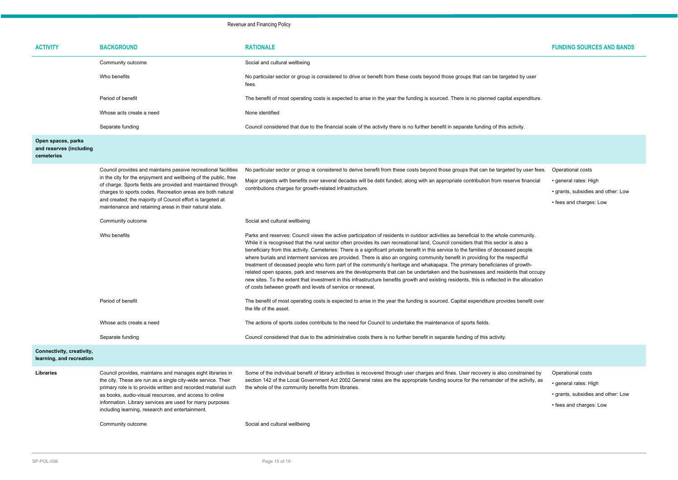| <b>ACTIVITY</b>                                             | <b>BACKGROUND</b>                                                                                                                                                                                                                                                                                                                                                    | <b>RATIONALE</b>                                                                                                                                                                                                                                                                                                                                                                                                                                                                                                                                                                                                                                                                                                                                                                                                                                                                                                                                                                                                                  | <b>FUNDING SOURCES AND BANDS</b>                                                                            |  |
|-------------------------------------------------------------|----------------------------------------------------------------------------------------------------------------------------------------------------------------------------------------------------------------------------------------------------------------------------------------------------------------------------------------------------------------------|-----------------------------------------------------------------------------------------------------------------------------------------------------------------------------------------------------------------------------------------------------------------------------------------------------------------------------------------------------------------------------------------------------------------------------------------------------------------------------------------------------------------------------------------------------------------------------------------------------------------------------------------------------------------------------------------------------------------------------------------------------------------------------------------------------------------------------------------------------------------------------------------------------------------------------------------------------------------------------------------------------------------------------------|-------------------------------------------------------------------------------------------------------------|--|
|                                                             | Community outcome                                                                                                                                                                                                                                                                                                                                                    | Social and cultural wellbeing                                                                                                                                                                                                                                                                                                                                                                                                                                                                                                                                                                                                                                                                                                                                                                                                                                                                                                                                                                                                     |                                                                                                             |  |
|                                                             | Who benefits                                                                                                                                                                                                                                                                                                                                                         | No particular sector or group is considered to drive or benefit from these costs beyond those groups that can be targeted by user<br>fees.                                                                                                                                                                                                                                                                                                                                                                                                                                                                                                                                                                                                                                                                                                                                                                                                                                                                                        |                                                                                                             |  |
|                                                             | Period of benefit                                                                                                                                                                                                                                                                                                                                                    | The benefit of most operating costs is expected to arise in the year the funding is sourced. There is no planned capital expenditure.                                                                                                                                                                                                                                                                                                                                                                                                                                                                                                                                                                                                                                                                                                                                                                                                                                                                                             |                                                                                                             |  |
|                                                             | Whose acts create a need                                                                                                                                                                                                                                                                                                                                             | None identified                                                                                                                                                                                                                                                                                                                                                                                                                                                                                                                                                                                                                                                                                                                                                                                                                                                                                                                                                                                                                   |                                                                                                             |  |
|                                                             | Separate funding                                                                                                                                                                                                                                                                                                                                                     | Council considered that due to the financial scale of the activity there is no further benefit in separate funding of this activity.                                                                                                                                                                                                                                                                                                                                                                                                                                                                                                                                                                                                                                                                                                                                                                                                                                                                                              |                                                                                                             |  |
| Open spaces, parks<br>and reserves (including<br>cemeteries |                                                                                                                                                                                                                                                                                                                                                                      |                                                                                                                                                                                                                                                                                                                                                                                                                                                                                                                                                                                                                                                                                                                                                                                                                                                                                                                                                                                                                                   |                                                                                                             |  |
|                                                             | Council provides and maintains passive recreational facilities                                                                                                                                                                                                                                                                                                       | No particular sector or group is considered to derive benefit from these costs beyond those groups that can be targeted by user fees.                                                                                                                                                                                                                                                                                                                                                                                                                                                                                                                                                                                                                                                                                                                                                                                                                                                                                             | Operational costs                                                                                           |  |
|                                                             | in the city for the enjoyment and wellbeing of the public, free<br>of charge. Sports fields are provided and maintained through<br>charges to sports codes. Recreation areas are both natural<br>and created; the majority of Council effort is targeted at<br>maintenance and retaining areas in their natural state.                                               | Major projects with benefits over several decades will be debt funded, along with an appropriate contribution from reserve financial<br>contributions charges for growth-related infrastructure.                                                                                                                                                                                                                                                                                                                                                                                                                                                                                                                                                                                                                                                                                                                                                                                                                                  | • general rates: High<br>• grants, subsidies and other: Low<br>• fees and charges: Low                      |  |
|                                                             | Community outcome                                                                                                                                                                                                                                                                                                                                                    | Social and cultural wellbeing                                                                                                                                                                                                                                                                                                                                                                                                                                                                                                                                                                                                                                                                                                                                                                                                                                                                                                                                                                                                     |                                                                                                             |  |
|                                                             | Who benefits                                                                                                                                                                                                                                                                                                                                                         | Parks and reserves: Council views the active participation of residents in outdoor activities as beneficial to the whole community.<br>While it is recognised that the rural sector often provides its own recreational land, Council considers that this sector is also a<br>beneficiary from this activity. Cemeteries: There is a significant private benefit in this service to the families of deceased people<br>where burials and interment services are provided. There is also an ongoing community benefit in providing for the respectful<br>treatment of deceased people who form part of the community's heritage and whakapapa. The primary beneficiaries of growth-<br>related open spaces, park and reserves are the developments that can be undertaken and the businesses and residents that occupy<br>new sites. To the extent that investment in this infrastructure benefits growth and existing residents, this is reflected in the allocation<br>of costs between growth and levels of service or renewal. |                                                                                                             |  |
|                                                             | Period of benefit                                                                                                                                                                                                                                                                                                                                                    | The benefit of most operating costs is expected to arise in the year the funding is sourced. Capital expenditure provides benefit over<br>the life of the asset.                                                                                                                                                                                                                                                                                                                                                                                                                                                                                                                                                                                                                                                                                                                                                                                                                                                                  |                                                                                                             |  |
|                                                             | Whose acts create a need                                                                                                                                                                                                                                                                                                                                             | The actions of sports codes contribute to the need for Council to undertake the maintenance of sports fields.                                                                                                                                                                                                                                                                                                                                                                                                                                                                                                                                                                                                                                                                                                                                                                                                                                                                                                                     |                                                                                                             |  |
|                                                             | Separate funding                                                                                                                                                                                                                                                                                                                                                     | Council considered that due to the administrative costs there is no further benefit in separate funding of this activity.                                                                                                                                                                                                                                                                                                                                                                                                                                                                                                                                                                                                                                                                                                                                                                                                                                                                                                         |                                                                                                             |  |
| Connectivity, creativity,<br>learning, and recreation       |                                                                                                                                                                                                                                                                                                                                                                      |                                                                                                                                                                                                                                                                                                                                                                                                                                                                                                                                                                                                                                                                                                                                                                                                                                                                                                                                                                                                                                   |                                                                                                             |  |
| <b>Libraries</b>                                            | Council provides, maintains and manages eight libraries in<br>the city. These are run as a single city-wide service. Their<br>primary role is to provide written and recorded material such<br>as books, audio-visual resources, and access to online<br>information. Library services are used for many purposes<br>including learning, research and entertainment. | Some of the individual benefit of library activities is recovered through user charges and fines. User recovery is also constrained by<br>section 142 of the Local Government Act 2002.General rates are the appropriate funding source for the remainder of the activity, as<br>the whole of the community benefits from libraries.                                                                                                                                                                                                                                                                                                                                                                                                                                                                                                                                                                                                                                                                                              | Operational costs<br>• general rates: High<br>• grants, subsidies and other: Low<br>• fees and charges: Low |  |
|                                                             | Community outcome                                                                                                                                                                                                                                                                                                                                                    | Social and cultural wellbeing                                                                                                                                                                                                                                                                                                                                                                                                                                                                                                                                                                                                                                                                                                                                                                                                                                                                                                                                                                                                     |                                                                                                             |  |

| eted by user    |  |  |
|-----------------|--|--|
| al expenditure. |  |  |
| activity.       |  |  |
|                 |  |  |

- 
- 
- 
- 
- 
- 
-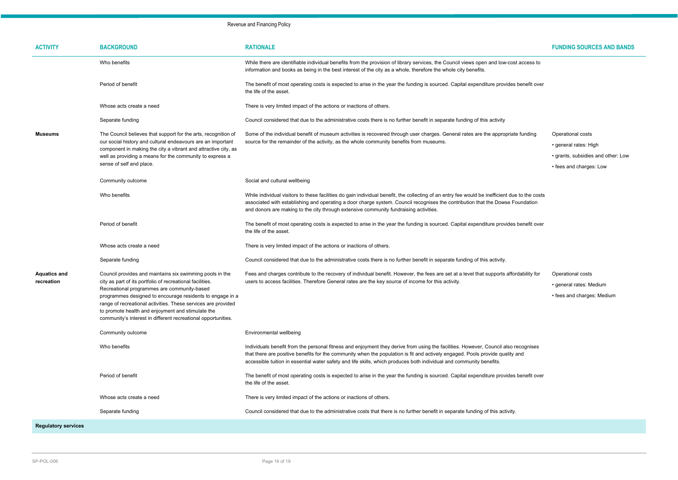Operational costs

- general rates: High
- grants, subsidies and other: Low
- fees and charges: Low

fordability for

| <b>ACTIVITY</b>                   | <b>BACKGROUND</b>                                                                                                                                                                                                                                                                                                                                                                                                        | <b>RATIONALE</b>                                                                                                                                                                                                                                                                                                                                                                             |
|-----------------------------------|--------------------------------------------------------------------------------------------------------------------------------------------------------------------------------------------------------------------------------------------------------------------------------------------------------------------------------------------------------------------------------------------------------------------------|----------------------------------------------------------------------------------------------------------------------------------------------------------------------------------------------------------------------------------------------------------------------------------------------------------------------------------------------------------------------------------------------|
|                                   | Who benefits                                                                                                                                                                                                                                                                                                                                                                                                             | While there are identifiable individual benefits from the provision of library services, the Council views open and low-cost access to<br>information and books as being in the best interest of the city as a whole, therefore the whole city benefits.                                                                                                                                     |
|                                   | Period of benefit                                                                                                                                                                                                                                                                                                                                                                                                        | The benefit of most operating costs is expected to arise in the year the funding is sourced. Capital expenditure provides benefit over<br>the life of the asset.                                                                                                                                                                                                                             |
|                                   | Whose acts create a need                                                                                                                                                                                                                                                                                                                                                                                                 | There is very limited impact of the actions or inactions of others.                                                                                                                                                                                                                                                                                                                          |
|                                   | Separate funding                                                                                                                                                                                                                                                                                                                                                                                                         | Council considered that due to the administrative costs there is no further benefit in separate funding of this activity                                                                                                                                                                                                                                                                     |
| Museums                           | The Council believes that support for the arts, recognition of<br>our social history and cultural endeavours are an important<br>component in making the city a vibrant and attractive city, as<br>well as providing a means for the community to express a<br>sense of self and place.                                                                                                                                  | Some of the individual benefit of museum activities is recovered through user charges. General rates are the appropriate funding<br>source for the remainder of the activity, as the whole community benefits from museums.                                                                                                                                                                  |
|                                   | Community outcome                                                                                                                                                                                                                                                                                                                                                                                                        | Social and cultural wellbeing                                                                                                                                                                                                                                                                                                                                                                |
|                                   | Who benefits                                                                                                                                                                                                                                                                                                                                                                                                             | While individual visitors to these facilities do gain individual benefit, the collecting of an entry fee would be inefficient due to the costs<br>associated with establishing and operating a door charge system. Council recognises the contribution that the Dowse Foundation<br>and donors are making to the city through extensive community fundraising activities.                    |
|                                   | Period of benefit                                                                                                                                                                                                                                                                                                                                                                                                        | The benefit of most operating costs is expected to arise in the year the funding is sourced. Capital expenditure provides benefit over<br>the life of the asset.                                                                                                                                                                                                                             |
|                                   | Whose acts create a need                                                                                                                                                                                                                                                                                                                                                                                                 | There is very limited impact of the actions or inactions of others.                                                                                                                                                                                                                                                                                                                          |
|                                   | Separate funding                                                                                                                                                                                                                                                                                                                                                                                                         | Council considered that due to the administrative costs there is no further benefit in separate funding of this activity.                                                                                                                                                                                                                                                                    |
| <b>Aquatics and</b><br>recreation | Council provides and maintains six swimming pools in the<br>city as part of its portfolio of recreational facilities.<br>Recreational programmes are community-based<br>programmes designed to encourage residents to engage in a<br>range of recreational activities. These services are provided<br>to promote health and enjoyment and stimulate the<br>community's interest in different recreational opportunities. | Fees and charges contribute to the recovery of individual benefit. However, the fees are set at a level that supports affordability for<br>users to access facilities. Therefore General rates are the key source of income for this activity.                                                                                                                                               |
|                                   | Community outcome                                                                                                                                                                                                                                                                                                                                                                                                        | Environmental wellbeing                                                                                                                                                                                                                                                                                                                                                                      |
|                                   | Who benefits                                                                                                                                                                                                                                                                                                                                                                                                             | Individuals benefit from the personal fitness and enjoyment they derive from using the facilities. However, Council also recognises<br>that there are positive benefits for the community when the population is fit and actively engaged. Pools provide quality and<br>accessible tuition in essential water safety and life skills, which produces both individual and community benefits. |
|                                   | Period of benefit                                                                                                                                                                                                                                                                                                                                                                                                        | The benefit of most operating costs is expected to arise in the year the funding is sourced. Capital expenditure provides benefit over<br>the life of the asset.                                                                                                                                                                                                                             |
|                                   | Whose acts create a need                                                                                                                                                                                                                                                                                                                                                                                                 | There is very limited impact of the actions or inactions of others.                                                                                                                                                                                                                                                                                                                          |
|                                   | Separate funding                                                                                                                                                                                                                                                                                                                                                                                                         | Council considered that due to the administrative costs that there is no further benefit in separate funding of this activity.                                                                                                                                                                                                                                                               |

- Operational costs
- general rates: Medium
- fees and charges: Medium

**Regulatory services**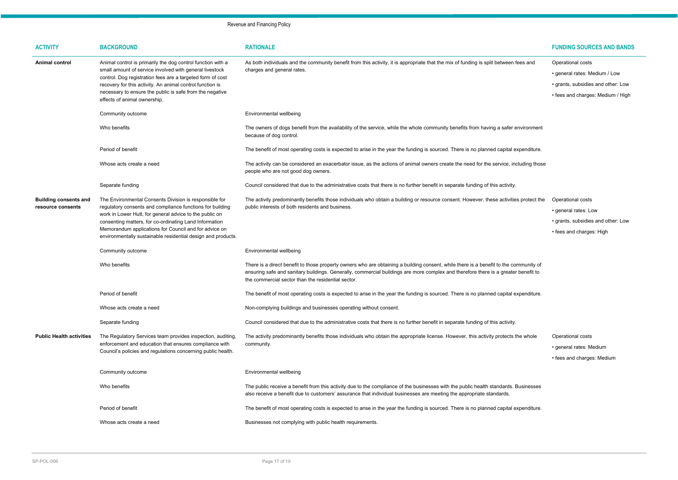| <b>ACTIVITY</b>                                   | <b>BACKGROUND</b>                                                                                                                                                                                                                                                                                                                                                 | <b>RATIONALE</b>                                                                                                                                                                                                                                                                                                                  | <b>FUNDING SOURCES AND BANDS</b>                                                                                              |
|---------------------------------------------------|-------------------------------------------------------------------------------------------------------------------------------------------------------------------------------------------------------------------------------------------------------------------------------------------------------------------------------------------------------------------|-----------------------------------------------------------------------------------------------------------------------------------------------------------------------------------------------------------------------------------------------------------------------------------------------------------------------------------|-------------------------------------------------------------------------------------------------------------------------------|
| <b>Animal control</b>                             | Animal control is primarily the dog control function with a<br>small amount of service involved with general livestock<br>control. Dog registration fees are a targeted form of cost<br>recovery for this activity. An animal control function is<br>necessary to ensure the public is safe from the negative<br>effects of animal ownership.                     | As both individuals and the community benefit from this activity, it is appropriate that the mix of funding is split between fees and<br>charges and general rates.                                                                                                                                                               | Operational costs<br>• general rates: Medium / Low<br>• grants, subsidies and other: Low<br>• fees and charges: Medium / High |
|                                                   | Community outcome                                                                                                                                                                                                                                                                                                                                                 | Environmental wellbeing                                                                                                                                                                                                                                                                                                           |                                                                                                                               |
|                                                   | Who benefits                                                                                                                                                                                                                                                                                                                                                      | The owners of dogs benefit from the availability of the service, while the whole community benefits from having a safer environment<br>because of dog control.                                                                                                                                                                    |                                                                                                                               |
|                                                   | Period of benefit                                                                                                                                                                                                                                                                                                                                                 | The benefit of most operating costs is expected to arise in the year the funding is sourced. There is no planned capital expenditure.                                                                                                                                                                                             |                                                                                                                               |
|                                                   | Whose acts create a need                                                                                                                                                                                                                                                                                                                                          | The activity can be considered an exacerbator issue, as the actions of animal owners create the need for the service, including those<br>people who are not good dog owners.                                                                                                                                                      |                                                                                                                               |
|                                                   | Separate funding                                                                                                                                                                                                                                                                                                                                                  | Council considered that due to the administrative costs that there is no further benefit in separate funding of this activity.                                                                                                                                                                                                    |                                                                                                                               |
| <b>Building consents and</b><br>resource consents | The Environmental Consents Division is responsible for<br>regulatory consents and compliance functions for building<br>work in Lower Hutt, for general advice to the public on<br>consenting matters, for co-ordinating Land Information<br>Memorandum applications for Council and for advice on<br>environmentally sustainable residential design and products. | The activity predominantly benefits those individuals who obtain a building or resource consent. However, these activities protect the<br>public interests of both residents and business.                                                                                                                                        | Operational costs<br>• general rates: Low<br>• grants, subsidies and other: Low<br>• fees and charges: High                   |
|                                                   | Community outcome                                                                                                                                                                                                                                                                                                                                                 | Environmental wellbeing                                                                                                                                                                                                                                                                                                           |                                                                                                                               |
|                                                   | Who benefits                                                                                                                                                                                                                                                                                                                                                      | There is a direct benefit to those property owners who are obtaining a building consent, while there is a benefit to the community of<br>ensuring safe and sanitary buildings. Generally, commercial buildings are more complex and therefore there is a greater benefit to<br>the commercial sector than the residential sector. |                                                                                                                               |
|                                                   | Period of benefit                                                                                                                                                                                                                                                                                                                                                 | The benefit of most operating costs is expected to arise in the year the funding is sourced. There is no planned capital expenditure.                                                                                                                                                                                             |                                                                                                                               |
|                                                   | Whose acts create a need                                                                                                                                                                                                                                                                                                                                          | Non-complying buildings and businesses operating without consent.                                                                                                                                                                                                                                                                 |                                                                                                                               |
|                                                   | Separate funding                                                                                                                                                                                                                                                                                                                                                  | Council considered that due to the administrative costs that there is no further benefit in separate funding of this activity.                                                                                                                                                                                                    |                                                                                                                               |
| <b>Public Health activities</b>                   | The Regulatory Services team provides inspection, auditing,<br>enforcement and education that ensures compliance with<br>Council's policies and regulations concerning public health.                                                                                                                                                                             | The activity predominantly benefits those individuals who obtain the appropriate license. However, this activity protects the whole<br>community.                                                                                                                                                                                 | Operational costs<br>• general rates: Medium<br>• fees and charges: Medium                                                    |
|                                                   | Community outcome                                                                                                                                                                                                                                                                                                                                                 | Environmental wellbeing                                                                                                                                                                                                                                                                                                           |                                                                                                                               |
|                                                   | Who benefits                                                                                                                                                                                                                                                                                                                                                      | The public receive a benefit from this activity due to the compliance of the businesses with the public health standards. Businesses<br>also receive a benefit due to customers' assurance that individual businesses are meeting the appropriate standards.                                                                      |                                                                                                                               |
|                                                   | Period of benefit                                                                                                                                                                                                                                                                                                                                                 | The benefit of most operating costs is expected to arise in the year the funding is sourced. There is no planned capital expenditure.                                                                                                                                                                                             |                                                                                                                               |
|                                                   | Whose acts create a need                                                                                                                                                                                                                                                                                                                                          | Businesses not complying with public health requirements.                                                                                                                                                                                                                                                                         |                                                                                                                               |

|                                | FUNDING SUURCES AND BANDS          |
|--------------------------------|------------------------------------|
| n fees and                     | Operational costs                  |
|                                | · general rates: Medium / Low      |
|                                | · grants, subsidies and other: Low |
|                                | • fees and charges: Medium / High  |
|                                |                                    |
|                                |                                    |
| r environment                  |                                    |
|                                |                                    |
| l expenditure.                 |                                    |
| including those                |                                    |
|                                |                                    |
| ty.                            |                                    |
| ties protect the               | Operational costs                  |
|                                | · general rates: Low               |
|                                | · grants, subsidies and other: Low |
|                                | • fees and charges: High           |
|                                |                                    |
|                                |                                    |
| community of<br>ter benefit to |                                    |
|                                |                                    |
| l expenditure.                 |                                    |
|                                |                                    |
|                                |                                    |
| ty.                            |                                    |
| s the whole                    | Operational costs                  |
|                                | · general rates: Medium            |
|                                | • fees and charges: Medium         |
|                                |                                    |

- 
-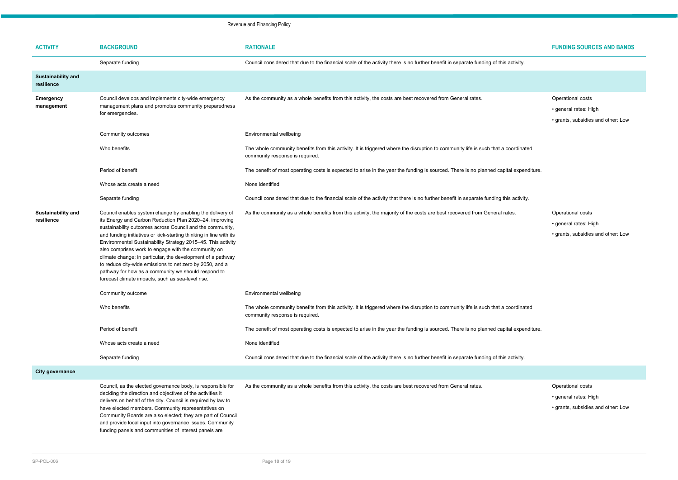- Operational costs
- general rates: High
- grants, subsidies and other: Low

#### **As a community community** of the majority of the majority of the majority of the majority of the costs are being the costs are being from General rates. Operational costs are belief the costs are being the costs are being

| <b>ACTIVITY</b>                         | <b>BACKGROUND</b>                                                                                                                                                                                                                                                                                                                                                                                                                                                                                                                                                                                                     | <b>RATIONALE</b>                                                                                                                                                      |
|-----------------------------------------|-----------------------------------------------------------------------------------------------------------------------------------------------------------------------------------------------------------------------------------------------------------------------------------------------------------------------------------------------------------------------------------------------------------------------------------------------------------------------------------------------------------------------------------------------------------------------------------------------------------------------|-----------------------------------------------------------------------------------------------------------------------------------------------------------------------|
|                                         | Separate funding                                                                                                                                                                                                                                                                                                                                                                                                                                                                                                                                                                                                      | Council considered that due to the financial scale of the activity there is no further benefit in separate funding of this activity.                                  |
| <b>Sustainability and</b><br>resilience |                                                                                                                                                                                                                                                                                                                                                                                                                                                                                                                                                                                                                       |                                                                                                                                                                       |
| <b>Emergency</b><br>management          | Council develops and implements city-wide emergency<br>management plans and promotes community preparedness<br>for emergencies.                                                                                                                                                                                                                                                                                                                                                                                                                                                                                       | As the community as a whole benefits from this activity, the costs are best recovered from General rates.                                                             |
|                                         | Community outcomes                                                                                                                                                                                                                                                                                                                                                                                                                                                                                                                                                                                                    | Environmental wellbeing                                                                                                                                               |
|                                         | Who benefits                                                                                                                                                                                                                                                                                                                                                                                                                                                                                                                                                                                                          | The whole community benefits from this activity. It is triggered where the disruption to community life is such that a coordinated<br>community response is required. |
|                                         | Period of benefit                                                                                                                                                                                                                                                                                                                                                                                                                                                                                                                                                                                                     | The benefit of most operating costs is expected to arise in the year the funding is sourced. There is no planned capital expenditure.                                 |
|                                         | Whose acts create a need                                                                                                                                                                                                                                                                                                                                                                                                                                                                                                                                                                                              | None identified                                                                                                                                                       |
|                                         | Separate funding                                                                                                                                                                                                                                                                                                                                                                                                                                                                                                                                                                                                      | Council considered that due to the financial scale of the activity that there is no further benefit in separate funding this activity.                                |
| <b>Sustainability and</b><br>resilience | Council enables system change by enabling the delivery of<br>its Energy and Carbon Reduction Plan 2020-24, improving<br>sustainability outcomes across Council and the community,<br>and funding initiatives or kick-starting thinking in line with its<br>Environmental Sustainability Strategy 2015-45. This activity<br>also comprises work to engage with the community on<br>climate change; in particular, the development of a pathway<br>to reduce city-wide emissions to net zero by 2050, and a<br>pathway for how as a community we should respond to<br>forecast climate impacts, such as sea-level rise. | As the community as a whole benefits from this activity, the majority of the costs are best recovered from General rates.                                             |
|                                         | Community outcome                                                                                                                                                                                                                                                                                                                                                                                                                                                                                                                                                                                                     | Environmental wellbeing                                                                                                                                               |
|                                         | Who benefits                                                                                                                                                                                                                                                                                                                                                                                                                                                                                                                                                                                                          | The whole community benefits from this activity. It is triggered where the disruption to community life is such that a coordinated<br>community response is required. |
|                                         | Period of benefit                                                                                                                                                                                                                                                                                                                                                                                                                                                                                                                                                                                                     | The benefit of most operating costs is expected to arise in the year the funding is sourced. There is no planned capital expenditure.                                 |
|                                         | Whose acts create a need                                                                                                                                                                                                                                                                                                                                                                                                                                                                                                                                                                                              | None identified                                                                                                                                                       |
|                                         | Separate funding                                                                                                                                                                                                                                                                                                                                                                                                                                                                                                                                                                                                      | Council considered that due to the financial scale of the activity there is no further benefit in separate funding of this activity.                                  |
| <b>City governance</b>                  |                                                                                                                                                                                                                                                                                                                                                                                                                                                                                                                                                                                                                       |                                                                                                                                                                       |
|                                         | Council, as the elected governance body, is responsible for<br>deciding the direction and objectives of the activities it<br>delivers on behalf of the city. Council is required by law to<br>have elected members. Community representatives on<br>Community Boards are also elected; they are part of Council                                                                                                                                                                                                                                                                                                       | As the community as a whole benefits from this activity, the costs are best recovered from General rates.                                                             |

- general rates: High
- grants, subsidies and other: Low

#### Operational costs

and provide local input into governance issues. Community funding panels and communities of interest panels are

- general rates: High
- grants, subsidies and other: Low